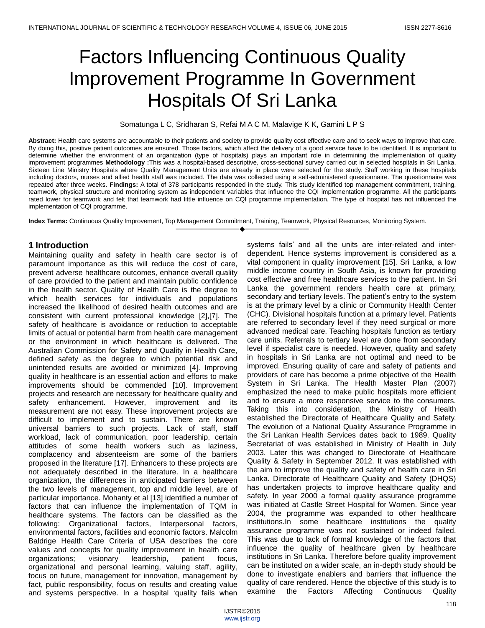# Factors Influencing Continuous Quality Improvement Programme In Government Hospitals Of Sri Lanka

#### Somatunga L C, Sridharan S, Refai M A C M, Malavige K K, Gamini L P S

**Abstract:** Health care systems are accountable to their patients and society to provide quality cost effective care and to seek ways to improve that care. By doing this, positive patient outcomes are ensured. Those factors, which affect the delivery of a good service have to be identified. It is important to determine whether the environment of an organization (type of hospitals) plays an important role in determining the implementation of quality improvement programmes **Methodology :**This was a hospital-based descriptive, cross-sectional survey carried out in selected hospitals in Sri Lanka. Sixteen Line Ministry Hospitals where Quality Management Units are already in place were selected for the study. Staff working in these hospitals including doctors, nurses and allied health staff was included. The data was collected using a self-administered questionnaire. The questionnaire was repeated after three weeks. **Findings:** A total of 378 participants responded in the study. This study identified top management commitment, training, teamwork, physical structure and monitoring system as independent variables that influence the CQI implementation programme. All the participants rated lower for teamwork and felt that teamwork had little influence on CQI programme implementation. The type of hospital has not influenced the implementation of CQI programme.

————————————————————

**Index Terms:** Continuous Quality Improvement, Top Management Commitment, Training, Teamwork, Physical Resources, Monitoring System.

## **1 Introduction**

Maintaining quality and safety in health care sector is of paramount importance as this will reduce the cost of care, prevent adverse healthcare outcomes, enhance overall quality of care provided to the patient and maintain public confidence in the health sector. Quality of Health Care is the degree to which health services for individuals and populations increased the likelihood of desired health outcomes and are consistent with current professional knowledge [2],[7]. The safety of healthcare is avoidance or reduction to acceptable limits of actual or potential harm from health care management or the environment in which healthcare is delivered. The Australian Commission for Safety and Quality in Health Care, defined safety as the degree to which potential risk and unintended results are avoided or minimized [4]. Improving quality in healthcare is an essential action and efforts to make improvements should be commended [10]. Improvement projects and research are necessary for healthcare quality and safety enhancement. However, improvement and its measurement are not easy. These improvement projects are difficult to implement and to sustain. There are known universal barriers to such projects. Lack of staff, staff workload, lack of communication, poor leadership, certain attitudes of some health workers such as laziness, complacency and absenteeism are some of the barriers proposed in the literature [17]. Enhancers to these projects are not adequately described in the literature. In a healthcare organization, the differences in anticipated barriers between the two levels of management, top and middle level, are of particular importance. Mohanty et al [13] identified a number of factors that can influence the implementation of TQM in healthcare systems. The factors can be classified as the following: Organizational factors, Interpersonal factors, environmental factors, facilities and economic factors. Malcolm Baldrige Health Care Criteria of USA describes the core values and concepts for quality improvement in health care organizations; visionary leadership, patient focus, organizational and personal learning, valuing staff, agility, focus on future, management for innovation, management by fact, public responsibility, focus on results and creating value and systems perspective. In a hospital 'quality fails when

systems fails' and all the units are inter-related and interdependent. Hence systems improvement is considered as a vital component in quality improvement [15]. Sri Lanka, a low middle income country in South Asia, is known for providing cost effective and free healthcare services to the patient. In Sri Lanka the government renders health care at primary, secondary and tertiary levels. The patient's entry to the system is at the primary level by a clinic or Community Health Center (CHC). Divisional hospitals function at a primary level. Patients are referred to secondary level if they need surgical or more advanced medical care. Teaching hospitals function as tertiary care units. Referrals to tertiary level are done from secondary level if specialist care is needed. However, quality and safety in hospitals in Sri Lanka are not optimal and need to be improved. Ensuring quality of care and safety of patients and providers of care has become a prime objective of the Health System in Sri Lanka. The Health Master Plan (2007) emphasized the need to make public hospitals more efficient and to ensure a more responsive service to the consumers. Taking this into consideration, the Ministry of Health established the Directorate of Healthcare Quality and Safety. The evolution of a National Quality Assurance Programme in the Sri Lankan Health Services dates back to 1989. Quality Secretariat of was established in Ministry of Health in July 2003. Later this was changed to Directorate of Healthcare Quality & Safety in September 2012. It was established with the aim to improve the quality and safety of health care in Sri Lanka. Directorate of Healthcare Quality and Safety (DHQS) has undertaken projects to improve healthcare quality and safety. In year 2000 a formal quality assurance programme was initiated at Castle Street Hospital for Women. Since year 2004, the programme was expanded to other healthcare institutions.In some healthcare institutions the quality assurance programme was not sustained or indeed failed. This was due to lack of formal knowledge of the factors that influence the quality of healthcare given by healthcare institutions in Sri Lanka. Therefore before quality improvement can be instituted on a wider scale, an in-depth study should be done to investigate enablers and barriers that influence the quality of care rendered. Hence the objective of this study is to examine the Factors Affecting Continuous Quality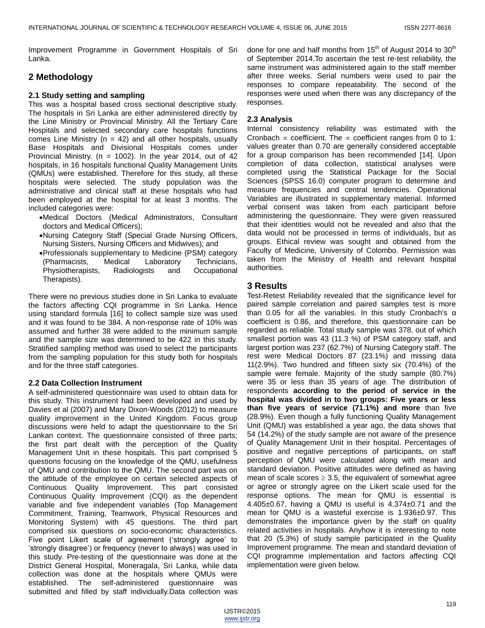Improvement Programme in Government Hospitals of Sri Lanka.

# **2 Methodology**

#### **2.1 Study setting and sampling**

This was a hospital based cross sectional descriptive study. The hospitals in Sri Lanka are either administered directly by the Line Ministry or Provincial Ministry. All the Tertiary Care Hospitals and selected secondary care hospitals functions comes Line Ministry ( $n = 42$ ) and all other hospitals, usually Base Hospitals and Divisional Hospitals comes under Provincial Ministry. ( $n = 1002$ ). In the year 2014, out of 42 hospitals, in 16 hospitals functional Quality Management Units (QMUs) were established. Therefore for this study, all these hospitals were selected. The study population was the administrative and clinical staff at these hospitals who had been employed at the hospital for at least 3 months. The included categories were:

- Medical Doctors (Medical Administrators, Consultant doctors and Medical Officers);
- Nursing Category Staff (Special Grade Nursing Officers, Nursing Sisters, Nursing Officers and Midwives); and
- Professionals supplementary to Medicine (PSM) category (Pharmacists, Medical Laboratory Technicians, Physiotherapists, Radiologists and Occupational Therapists).

There were no previous studies done in Sri Lanka to evaluate the factors affecting CQI programme in Sri Lanka. Hence using standard formula [16] to collect sample size was used and it was found to be 384. A non-response rate of 10% was assumed and further 38 were added to the minimum sample and the sample size was determined to be 422 in this study. Stratified sampling method was used to select the participants from the sampling population for this study both for hospitals and for the three staff categories.

#### **2.2 Data Collection Instrument**

A self-administered questionnaire was used to obtain data for this study. This instrument had been developed and used by Davies et al (2007) and Mary Dixon-Woods (2012) to measure quality improvement in the United Kingdom. Focus group discussions were held to adapt the questionnaire to the Sri Lankan context. The questionnaire consisted of three parts; the first part dealt with the perception of the Quality Management Unit in these hospitals. This part comprised 5 questions focusing on the knowledge of the QMU, usefulness of QMU and contribution to the QMU. The second part was on the attitude of the employee on certain selected aspects of Continuous Quality Improvement. This part consisted Continuous Quality Improvement (CQI) as the dependent variable and five independent variables (Top Management Commitment, Training, Teamwork, Physical Resources and Monitoring System) with 45 questions. The third part comprised six questions on socio-economic characteristics. Five point Likert scale of agreement ('strongly agree' to ‗strongly disagree') or frequency (never to always) was used in this study. Pre-testing of the questionnaire was done at the District General Hospital, Moneragala, Sri Lanka, while data collection was done at the hospitals where QMUs were established. The self-administered questionnaire was submitted and filled by staff individually.Data collection was

done for one and half months from  $15<sup>th</sup>$  of August 2014 to 30<sup>th</sup> of September 2014.To ascertain the test re-test reliability, the same instrument was administered again to the staff member after three weeks. Serial numbers were used to pair the responses to compare repeatability. The second of the responses were used when there was any discrepancy of the responses.

## **2.3 Analysis**

Internal consistency reliability was estimated with the Cronbach  $\infty$  coefficient. The  $\infty$  coefficient ranges from 0 to 1: values greater than 0.70 are generally considered acceptable for a group comparison has been recommended [14]. Upon completion of data collection, statistical analyses were completed using the Statistical Package for the Social Sciences (SPSS 16.0) computer program to determine and measure frequencies and central tendencies. Operational Variables are illustrated in supplementary material. Informed verbal consent was taken from each participant before administering the questionnaire. They were given reassured that their identities would not be revealed and also that the data would not be processed in terms of individuals, but as groups. Ethical review was sought and obtained from the Faculty of Medicine, University of Colombo. Permission was taken from the Ministry of Health and relevant hospital authorities.

## **3 Results**

Test-Retest Reliability revealed that the significance level for paired sample correlation and paired samples test is more than 0.05 for all the variables. In this study Cronbach's α coefficient is 0.86, and therefore, this questionnaire can be regarded as reliable. Total study sample was 378, out of which smallest portion was 43 (11.3 %) of PSM category staff, and largest portion was 237 (62.7%) of Nursing Category staff. The rest were Medical Doctors 87 (23.1%) and missing data 11(2.9%). Two hundred and fifteen sixty six (70.4%) of the sample were female. Majority of the study sample (80.7%) were 35 or less than 35 years of age. The distribution of respondents **according to the period of service in the hospital was divided in to two groups: Five years or less than five years of service (71.1%) and more** than five (28.9%). Even though a fully functioning Quality Management Unit (QMU) was established a year ago, the data shows that 54 (14.2%) of the study sample are not aware of the presence of Quality Management Unit in their hospital. Percentages of positive and negative perceptions of participants, on staff perception of QMU were calculated along with mean and standard deviation. Positive attitudes were defined as having mean of scale scores  $\geq$  3.5, the equivalent of somewhat agree or agree or strongly agree on the Likert scale used for the response options. The mean for QMU is essential is 4.405 $\pm$ 0.67, having a QMU is useful is 4.374 $\pm$ 0.71 and the mean for QMU is a wasteful exercise is 1.936±0.97. This demonstrates the importance given by the staff on quality related activities in hospitals. Anyhow it is interesting to note that 20 (5.3%) of study sample participated in the Quality Improvement programme. The mean and standard deviation of CQI programme implementation and factors affecting CQI implementation were given below.

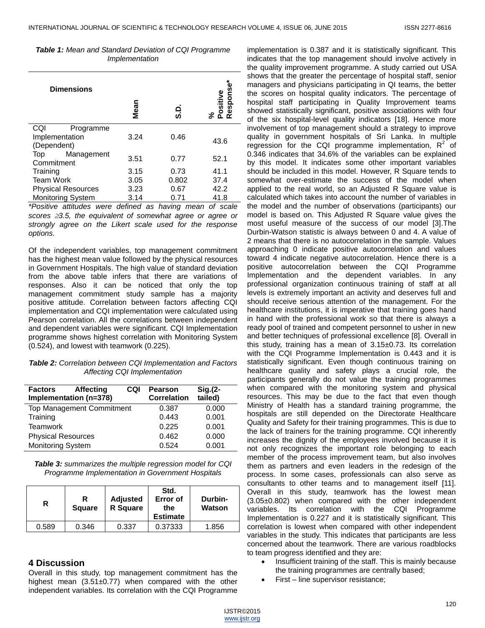|  |  |                | <b>Table 1:</b> Mean and Standard Deviation of CQI Programme |
|--|--|----------------|--------------------------------------------------------------|
|  |  | Implementation |                                                              |

| <b>Dimensions</b>                  | Mean | င္ပ   | Respons<br>ositive<br>న ⊄ |
|------------------------------------|------|-------|---------------------------|
| CQI<br>Programme<br>Implementation | 3.24 | 0.46  |                           |
| (Dependent)                        |      |       | 43.6                      |
| Top<br>Management<br>Commitment    | 3.51 | 0.77  | 52.1                      |
|                                    | 3.15 | 0.73  | 41.1                      |
| Training                           |      |       |                           |
| <b>Team Work</b>                   | 3.05 | 0.802 | 37.4                      |
| <b>Physical Resources</b>          | 3.23 | 0.67  | 42.2                      |
| <b>Monitoring System</b>           | 3.14 | 0.71  | 41.8                      |
| $\overline{a}$                     | . .  |       |                           |

*\*Positive attitudes were defined as having mean of scale scores 3.5, the equivalent of somewhat agree or agree or strongly agree on the Likert scale used for the response options.* 

Of the independent variables, top management commitment has the highest mean value followed by the physical resources in Government Hospitals. The high value of standard deviation from the above table infers that there are variations of responses. Also it can be noticed that only the top management commitment study sample has a majority positive attitude. Correlation between factors affecting CQI implementation and CQI implementation were calculated using Pearson correlation. All the correlations between independent and dependent variables were significant. CQI Implementation programme shows highest correlation with Monitoring System (0.524), and lowest with teamwork (0.225).

*Table 2: Correlation between CQI Implementation and Factors Affecting CQI Implementation*

| <b>Factors</b>            | <b>Affecting</b><br>Implementation (n=378) | CQI | <b>Pearson</b><br><b>Correlation</b> | $Sig(2-$<br>tailed) |
|---------------------------|--------------------------------------------|-----|--------------------------------------|---------------------|
|                           | <b>Top Management Commitment</b>           |     | 0.387                                | 0.000               |
| Training                  |                                            |     | 0.443                                | 0.001               |
| <b>Teamwork</b>           |                                            |     | 0.225                                | 0.001               |
| <b>Physical Resources</b> |                                            |     | 0.462                                | 0.000               |
| <b>Monitoring System</b>  |                                            |     | 0.524                                | 0.001               |

*Table 3: summarizes the multiple regression model for CQI Programme Implementation in Government Hospitals*

| R     | <b>Square</b> | <b>Adjusted</b><br><b>R</b> Square | Std.<br>Error of<br>the<br><b>Estimate</b> | Durbin-<br>Watson |
|-------|---------------|------------------------------------|--------------------------------------------|-------------------|
| 0.589 | 0.346         | 0.337                              | 0.37333                                    | 1.856             |

## **4 Discussion**

Overall in this study, top management commitment has the highest mean  $(3.51\pm0.77)$  when compared with the other independent variables. Its correlation with the CQI Programme

implementation is 0.387 and it is statistically significant. This indicates that the top management should involve actively in the quality improvement programme. A study carried out USA shows that the greater the percentage of hospital staff, senior managers and physicians participating in QI teams, the better the scores on hospital quality indicators. The percentage of hospital staff participating in Quality Improvement teams showed statistically significant, positive associations with four of the six hospital-level quality indicators [18]. Hence more involvement of top management should a strategy to improve quality in government hospitals of Sri Lanka. In multiple regression for the CQI programme implementation,  $R^2$  of 0.346 indicates that 34.6% of the variables can be explained by this model. It indicates some other important variables should be included in this model. However, R Square tends to somewhat over-estimate the success of the model when applied to the real world, so an Adjusted R Square value is calculated which takes into account the number of variables in the model and the number of observations (participants) our model is based on. This Adjusted R Square value gives the most useful measure of the success of our model [3].The Durbin-Watson statistic is always between 0 and 4. A value of 2 means that there is no autocorrelation in the sample. Values approaching 0 indicate positive autocorrelation and values toward 4 indicate negative autocorrelation. Hence there is a positive autocorrelation between the CQI Programme Implementation and the dependent variables. In any professional organization continuous training of staff at all levels is extremely important an activity and deserves full and should receive serious attention of the management. For the healthcare institutions, it is imperative that training goes hand in hand with the professional work so that there is always a ready pool of trained and competent personnel to usher in new and better techniques of professional excellence [8]. Overall in this study, training has a mean of  $3.15\pm0.73$ . Its correlation with the CQI Programme Implementation is 0.443 and it is statistically significant. Even though continuous training on healthcare quality and safety plays a crucial role, the participants generally do not value the training programmes when compared with the monitoring system and physical resources. This may be due to the fact that even though Ministry of Health has a standard training programme, the hospitals are still depended on the Directorate Healthcare Quality and Safety for their training programmes. This is due to the lack of trainers for the training programme. CQI inherently increases the dignity of the employees involved because it is not only recognizes the important role belonging to each member of the process improvement team, but also involves them as partners and even leaders in the redesign of the process. In some cases, professionals can also serve as consultants to other teams and to management itself [11]. Overall in this study, teamwork has the lowest mean (3.05±0.802) when compared with the other independent variables. Its correlation with the CQI Programme Implementation is 0.227 and it is statistically significant. This correlation is lowest when compared with other independent variables in the study. This indicates that participants are less concerned about the teamwork. There are various roadblocks to team progress identified and they are:

- Insufficient training of the staff. This is mainly because the training programmes are centrally based;
- First line supervisor resistance;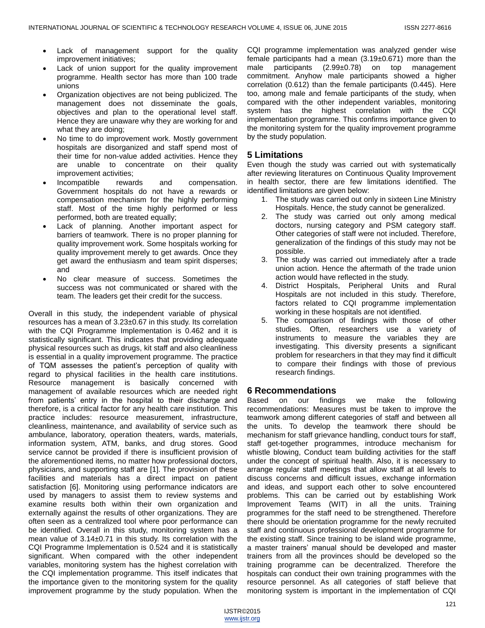- Lack of management support for the quality improvement initiatives;
- Lack of union support for the quality improvement programme. Health sector has more than 100 trade unions
- Organization objectives are not being publicized. The management does not disseminate the goals, objectives and plan to the operational level staff. Hence they are unaware why they are working for and what they are doing;
- No time to do improvement work. Mostly government hospitals are disorganized and staff spend most of their time for non-value added activities. Hence they are unable to concentrate on their quality improvement activities;
- Incompatible rewards and compensation. Government hospitals do not have a rewards or compensation mechanism for the highly performing staff. Most of the time highly performed or less performed, both are treated equally;
- Lack of planning. Another important aspect for barriers of teamwork. There is no proper planning for quality improvement work. Some hospitals working for quality improvement merely to get awards. Once they get award the enthusiasm and team spirit disperses; and
- No clear measure of success. Sometimes the success was not communicated or shared with the team. The leaders get their credit for the success.

Overall in this study, the independent variable of physical resources has a mean of 3.23±0.67 in this study. Its correlation with the CQI Programme Implementation is 0.462 and it is statistically significant. This indicates that providing adequate physical resources such as drugs, kit staff and also cleanliness is essential in a quality improvement programme. The practice of TQM assesses the patient's perception of quality with regard to physical facilities in the health care institutions. Resource management is basically concerned with management of available resources which are needed right from patients' entry in the hospital to their discharge and therefore, is a critical factor for any health care institution. This practice includes: resource measurement, infrastructure, cleanliness, maintenance, and availability of service such as ambulance, laboratory, operation theaters, wards, materials, information system, ATM, banks, and drug stores. Good service cannot be provided if there is insufficient provision of the aforementioned items, no matter how professional doctors, physicians, and supporting staff are [1]. The provision of these facilities and materials has a direct impact on patient satisfaction [6]. Monitoring using performance indicators are used by managers to assist them to review systems and examine results both within their own organization and externally against the results of other organizations. They are often seen as a centralized tool where poor performance can be identified. Overall in this study, monitoring system has a mean value of 3.14±0.71 in this study. Its correlation with the CQI Programme Implementation is 0.524 and it is statistically significant. When compared with the other independent variables, monitoring system has the highest correlation with the CQI implementation programme. This itself indicates that the importance given to the monitoring system for the quality improvement programme by the study population. When the

CQI programme implementation was analyzed gender wise female participants had a mean  $(3.19\pm0.671)$  more than the male participants (2.99±0.78) on top management commitment. Anyhow male participants showed a higher correlation (0.612) than the female participants (0.445). Here too, among male and female participants of the study, when compared with the other independent variables, monitoring system has the highest correlation with the CQI implementation programme. This confirms importance given to the monitoring system for the quality improvement programme by the study population.

# **5 Limitations**

Even though the study was carried out with systematically after reviewing literatures on Continuous Quality Improvement in health sector, there are few limitations identified. The identified limitations are given below:

- 1. The study was carried out only in sixteen Line Ministry Hospitals. Hence, the study cannot be generalized.
- 2. The study was carried out only among medical doctors, nursing category and PSM category staff. Other categories of staff were not included. Therefore, generalization of the findings of this study may not be possible.
- 3. The study was carried out immediately after a trade union action. Hence the aftermath of the trade union action would have reflected in the study.
- 4. District Hospitals, Peripheral Units and Rural Hospitals are not included in this study. Therefore, factors related to CQI programme implementation working in these hospitals are not identified.
- 5. The comparison of findings with those of other studies. Often, researchers use a variety of instruments to measure the variables they are investigating. This diversity presents a significant problem for researchers in that they may find it difficult to compare their findings with those of previous research findings.

# **6 Recommendations**

Based on our findings we make the following recommendations: Measures must be taken to improve the teamwork among different categories of staff and between all the units. To develop the teamwork there should be mechanism for staff grievance handling, conduct tours for staff, staff get-together programmes, introduce mechanism for whistle blowing, Conduct team building activities for the staff under the concept of spiritual health. Also, it is necessary to arrange regular staff meetings that allow staff at all levels to discuss concerns and difficult issues, exchange information and ideas, and support each other to solve encountered problems. This can be carried out by establishing Work Improvement Teams (WIT) in all the units. Training programmes for the staff need to be strengthened. Therefore there should be orientation programme for the newly recruited staff and continuous professional development programme for the existing staff. Since training to be island wide programme, a master trainers' manual should be developed and master trainers from all the provinces should be developed so the training programme can be decentralized. Therefore the hospitals can conduct their own training programmes with the resource personnel. As all categories of staff believe that monitoring system is important in the implementation of CQI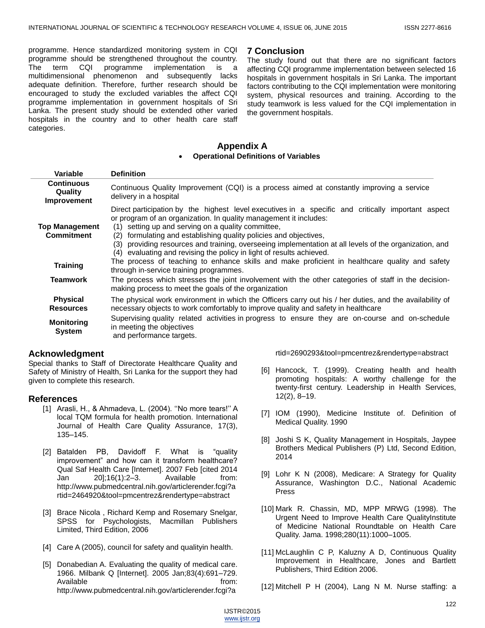programme. Hence standardized monitoring system in CQI programme should be strengthened throughout the country. The term CQI programme implementation is a multidimensional phenomenon and subsequently lacks adequate definition. Therefore, further research should be encouraged to study the excluded variables the affect CQI programme implementation in government hospitals of Sri Lanka. The present study should be extended other varied hospitals in the country and to other health care staff categories.

#### **7 Conclusion**

The study found out that there are no significant factors affecting CQI programme implementation between selected 16 hospitals in government hospitals in Sri Lanka. The important factors contributing to the CQI implementation were monitoring system, physical resources and training. According to the study teamwork is less valued for the CQI implementation in the government hospitals.

### **Appendix A Operational Definitions of Variables**

| <b>Variable</b>                                               | <b>Definition</b>                                                                                                                                                                                                                                                                                                                                                                                                                                                                                                                                                                            |
|---------------------------------------------------------------|----------------------------------------------------------------------------------------------------------------------------------------------------------------------------------------------------------------------------------------------------------------------------------------------------------------------------------------------------------------------------------------------------------------------------------------------------------------------------------------------------------------------------------------------------------------------------------------------|
| <b>Continuous</b><br>Quality<br>Improvement                   | Continuous Quality Improvement (CQI) is a process aimed at constantly improving a service<br>delivery in a hospital                                                                                                                                                                                                                                                                                                                                                                                                                                                                          |
| <b>Top Management</b><br><b>Commitment</b><br><b>Training</b> | Direct participation by the highest level executives in a specific and critically important aspect<br>or program of an organization. In quality management it includes:<br>setting up and serving on a quality committee,<br>(1)<br>formulating and establishing quality policies and objectives,<br>(2)<br>(3) providing resources and training, overseeing implementation at all levels of the organization, and<br>(4) evaluating and revising the policy in light of results achieved.<br>The process of teaching to enhance skills and make proficient in healthcare quality and safety |
| <b>Teamwork</b>                                               | through in-service training programmes.<br>The process which stresses the joint involvement with the other categories of staff in the decision-<br>making process to meet the goals of the organization                                                                                                                                                                                                                                                                                                                                                                                      |
| <b>Physical</b><br><b>Resources</b>                           | The physical work environment in which the Officers carry out his / her duties, and the availability of<br>necessary objects to work comfortably to improve quality and safety in healthcare                                                                                                                                                                                                                                                                                                                                                                                                 |
| <b>Monitoring</b><br><b>System</b>                            | Supervising quality related activities in progress to ensure they are on-course and on-schedule<br>in meeting the objectives<br>and performance targets.                                                                                                                                                                                                                                                                                                                                                                                                                                     |

## **Acknowledgment**

Special thanks to Staff of Directorate Healthcare Quality and Safety of Ministry of Health, Sri Lanka for the support they had given to complete this research.

# **References**

- [1] Arasli, H., & Ahmadeva, L. (2004). "No more tears!" A local TQM formula for health promotion. International Journal of Health Care Quality Assurance, 17(3), 135–145.
- [2] Batalden PB, Davidoff F. What is "quality improvement" and how can it transform healthcare? Qual Saf Health Care [Internet]. 2007 Feb [cited 2014 Jan 20];16(1):2–3. Available from: [http://www.pubmedcentral.nih.gov/articlerender.fcgi?a](http://www.pubmedcentral.nih.gov/articlerender.fcgi?artid=2464920&tool=pmcentrez&rendertype=abstract) [rtid=2464920&tool=pmcentrez&rendertype=abstract](http://www.pubmedcentral.nih.gov/articlerender.fcgi?artid=2464920&tool=pmcentrez&rendertype=abstract)
- [3] Brace Nicola , Richard Kemp and Rosemary Snelgar, SPSS for Psychologists, Macmillan Publishers Limited, Third Edition, 2006
- [4] Care A (2005), council for safety and qualityin health.
- [5] Donabedian A. Evaluating the quality of medical care. 1966. Milbank Q [Internet]. 2005 Jan;83(4):691–729. Available from: [http://www.pubmedcentral.nih.gov/articlerender.fcgi?a](http://www.pubmedcentral.nih.gov/articlerender.fcgi?artid=2690293&tool=pmcentrez&rendertype=abstract)

#### [rtid=2690293&tool=pmcentrez&rendertype=abstract](http://www.pubmedcentral.nih.gov/articlerender.fcgi?artid=2690293&tool=pmcentrez&rendertype=abstract)

- [6] Hancock, T. (1999). Creating health and health promoting hospitals: A worthy challenge for the twenty-first century. Leadership in Health Services, 12(2), 8–19.
- [7] IOM (1990), Medicine Institute of. Definition of Medical Quality. 1990
- [8] Joshi S K, Quality Management in Hospitals, Jaypee Brothers Medical Publishers (P) Ltd, Second Edition, 2014
- [9] Lohr K N (2008), Medicare: A Strategy for Quality Assurance, Washington D.C., National Academic Press
- [10] Mark R. Chassin, MD, MPP MRWG (1998). The Urgent Need to Improve Health Care QualityInstitute of Medicine National Roundtable on Health Care Quality. Jama. 1998;280(11):1000–1005.
- [11] McLaughlin C P, Kaluzny A D, Continuous Quality Improvement in Healthcare, Jones and Bartlett Publishers, Third Edition 2006.
- [12] Mitchell P H (2004), Lang N M. Nurse staffing: a